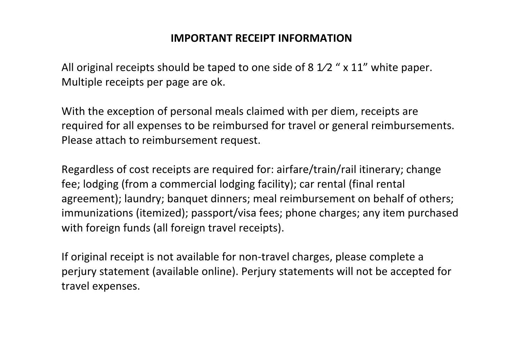## **IMPORTANT RECEIPT INFORMATION**

All original receipts should be taped to one side of 8  $1/2$  " x 11" white paper. Multiple receipts per page are ok.

With the exception of personal meals claimed with per diem, receipts are required for all expenses to be reimbursed for travel or general reimbursements. Please attach to reimbursement request.

Regardless of cost receipts are required for: airfare/train/rail itinerary; change fee; lodging (from a commercial lodging facility); car rental (final rental agreement); laundry; banquet dinners; meal reimbursement on behalf of others; immunizations (itemized); passport/visa fees; phone charges; any item purchased with foreign funds (all foreign travel receipts).

If original receipt is not available for non-travel charges, please complete a perjury statement (available online). Perjury statements will not be accepted for travel expenses.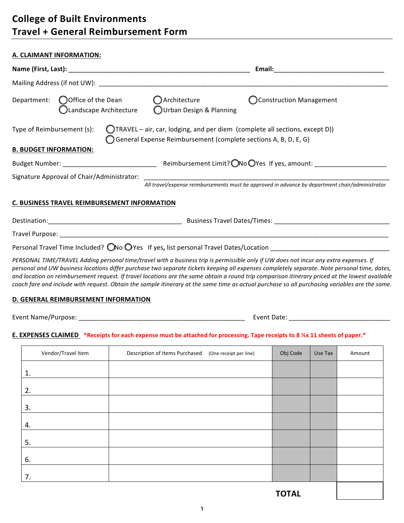# **College of Built Environments Travel + General Reimbursement Form**

7.

|                                                                      | A. CLAIMANT INFORMATION:                     |  |                                                                                                                                                                                                                                                                                                                                                                                                                                                                                                                                                                                            |                        |  |          |         |        |  |
|----------------------------------------------------------------------|----------------------------------------------|--|--------------------------------------------------------------------------------------------------------------------------------------------------------------------------------------------------------------------------------------------------------------------------------------------------------------------------------------------------------------------------------------------------------------------------------------------------------------------------------------------------------------------------------------------------------------------------------------------|------------------------|--|----------|---------|--------|--|
|                                                                      |                                              |  |                                                                                                                                                                                                                                                                                                                                                                                                                                                                                                                                                                                            |                        |  |          |         |        |  |
|                                                                      |                                              |  |                                                                                                                                                                                                                                                                                                                                                                                                                                                                                                                                                                                            |                        |  |          |         |        |  |
| Department: $\bigcirc$ Office of the Dean<br>Clandscape Architecture |                                              |  | $\bigcirc$ Architecture<br><b>Construction Management</b><br>OUrban Design & Planning                                                                                                                                                                                                                                                                                                                                                                                                                                                                                                      |                        |  |          |         |        |  |
|                                                                      | Type of Reimbursement (s):                   |  | (TRAVEL – air, car, lodging, and per diem (complete all sections, except D))<br>General Expense Reimbursement (complete sections A, B, D, E, G)                                                                                                                                                                                                                                                                                                                                                                                                                                            |                        |  |          |         |        |  |
| <b>B. BUDGET INFORMATION:</b>                                        |                                              |  |                                                                                                                                                                                                                                                                                                                                                                                                                                                                                                                                                                                            |                        |  |          |         |        |  |
|                                                                      |                                              |  |                                                                                                                                                                                                                                                                                                                                                                                                                                                                                                                                                                                            |                        |  |          |         |        |  |
|                                                                      |                                              |  | All travel/expense reimbursements must be approved in advance by department chair/administrator                                                                                                                                                                                                                                                                                                                                                                                                                                                                                            |                        |  |          |         |        |  |
|                                                                      | C. BUSINESS TRAVEL REIMBURSEMENT INFORMATION |  |                                                                                                                                                                                                                                                                                                                                                                                                                                                                                                                                                                                            |                        |  |          |         |        |  |
|                                                                      |                                              |  |                                                                                                                                                                                                                                                                                                                                                                                                                                                                                                                                                                                            |                        |  |          |         |        |  |
|                                                                      |                                              |  |                                                                                                                                                                                                                                                                                                                                                                                                                                                                                                                                                                                            |                        |  |          |         |        |  |
|                                                                      |                                              |  | Personal Travel Time Included? ONo OYes If yes, list personal Travel Dates/Location __________________________                                                                                                                                                                                                                                                                                                                                                                                                                                                                             |                        |  |          |         |        |  |
|                                                                      |                                              |  | PERSONAL TIME/TRAVEL Adding personal time/travel with a business trip is permissible only if UW does not incur any extra expenses. If<br>personal and UW business locations differ purchase two separate tickets keeping all expenses completely separate. Note personal time, dates,<br>and location on reimbursement request. If travel locations are the same obtain a round trip comparison itinerary priced at the lowest available<br>coach fare and include with request. Obtain the sample itinerary at the same time as actual purchase so all purchasing variables are the same. |                        |  |          |         |        |  |
|                                                                      | D. GENERAL REIMBURSEMENT INFORMATION         |  |                                                                                                                                                                                                                                                                                                                                                                                                                                                                                                                                                                                            |                        |  |          |         |        |  |
|                                                                      |                                              |  |                                                                                                                                                                                                                                                                                                                                                                                                                                                                                                                                                                                            |                        |  |          |         |        |  |
|                                                                      |                                              |  | E. EXPENSES CLAIMED *Receipts for each expense must be attached for processing. Tape receipts to 8 1/2 x 11 sheets of paper.*                                                                                                                                                                                                                                                                                                                                                                                                                                                              |                        |  |          |         |        |  |
|                                                                      | Vendor/Travel Item                           |  | Description of Items Purchased                                                                                                                                                                                                                                                                                                                                                                                                                                                                                                                                                             | (One receipt per line) |  | Obj Code | Use Tax | Amount |  |
| 1.                                                                   |                                              |  |                                                                                                                                                                                                                                                                                                                                                                                                                                                                                                                                                                                            |                        |  |          |         |        |  |
| 2.                                                                   |                                              |  |                                                                                                                                                                                                                                                                                                                                                                                                                                                                                                                                                                                            |                        |  |          |         |        |  |
| 3.                                                                   |                                              |  |                                                                                                                                                                                                                                                                                                                                                                                                                                                                                                                                                                                            |                        |  |          |         |        |  |
| 4.                                                                   |                                              |  |                                                                                                                                                                                                                                                                                                                                                                                                                                                                                                                                                                                            |                        |  |          |         |        |  |
| 5.                                                                   |                                              |  |                                                                                                                                                                                                                                                                                                                                                                                                                                                                                                                                                                                            |                        |  |          |         |        |  |
|                                                                      |                                              |  |                                                                                                                                                                                                                                                                                                                                                                                                                                                                                                                                                                                            |                        |  |          |         |        |  |
| 6.                                                                   |                                              |  |                                                                                                                                                                                                                                                                                                                                                                                                                                                                                                                                                                                            |                        |  |          |         |        |  |